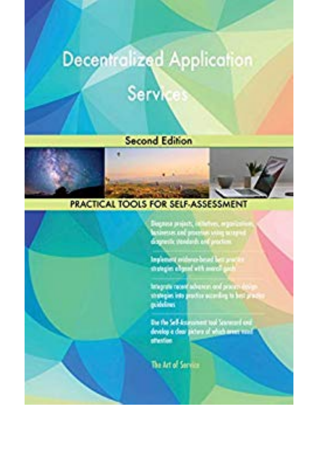## **Decentralized Application**

# Services

#### **Second Edition**





### **PRACTICAL TOOLS FOR SELF-ASSESSMENT**



Diegono prijach, infinitru, mportus<br>basismam and praetics assignates<br>diagnosis Vandorb, and praetics

Implement realises a bound her process.<br>With the officer of the same of position

tategrate record advances and process datey shareper into proving according to best proces p.idd.m.

The the Self-American tool Science of and develop a door picture of which aren't work affection.

The Art of Service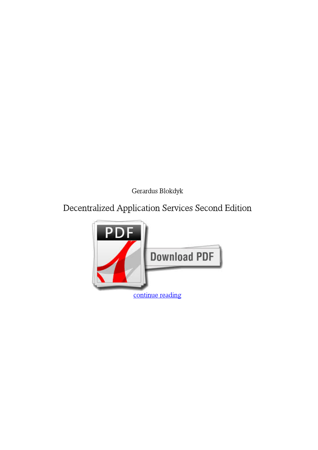*Gerardus Blokdyk*

#### **Decentralized Application Services Second Edition**

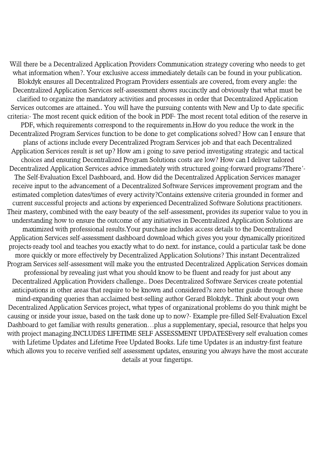Will there be a Decentralized Application Providers Communication strategy covering who needs to get what information when?. Your exclusive access immediately details can be found in your publication. Blokdyk ensures all Decentralized Program Providers essentials are covered, from every angle: the Decentralized Application Services self-assessment shows succinctly and obviously that what must be clarified to organize the mandatory activities and processes in order that Decentralized Application Services outcomes are attained.. You will have the pursuing contents with New and Up to date specific criteria:- The most recent quick edition of the book in PDF- The most recent total edition of the reserve in PDF, which requirements correspond to the requirements in.How do you reduce the work in the Decentralized Program Services function to be done to get complications solved? How can I ensure that plans of actions include every Decentralized Program Services job and that each Decentralized Application Services result is set up? How am i going to save period investigating strategic and tactical choices and ensuring Decentralized Program Solutions costs are low? How can I deliver tailored Decentralized Application Services advice immediately with structured going-forward programs?There'- The Self-Evaluation Excel Dashboard, and. How did the Decentralized Application Services manager receive input to the advancement of a Decentralized Software Services improvement program and the estimated completion dates/times of every activity?Contains extensive criteria grounded in former and current successful projects and actions by experienced Decentralized Software Solutions practitioners. Their mastery, combined with the easy beauty of the self-assessment, provides its superior value to you in understanding how to ensure the outcome of any initiatives in Decentralized Application Solutions are maximized with professional results.Your purchase includes access details to the Decentralized Application Services self-assessment dashboard download which gives you your dynamically prioritized projects-ready tool and teaches you exactly what to do next. for instance, could a particular task be done more quickly or more effectively by Decentralized Application Solutions? This instant Decentralized Program Services self-assessment will make you the entrusted Decentralized Application Services domain professional by revealing just what you should know to be fluent and ready for just about any Decentralized Application Providers challenge.. Does Decentralized Software Services create potential anticipations in other areas that require to be known and considered?s zero better guide through these mind-expanding queries than acclaimed best-selling author Gerard Blokdyk.. Think about your own Decentralized Application Services project, what types of organizational problems do you think might be causing or inside your issue, based on the task done up to now?- Example pre-filled Self-Evaluation Excel Dashboard to get familiar with results generation…plus a supplementary, special, resource that helps you with project managing.INCLUDES LIFETIME SELF ASSESSMENT UPDATESEvery self evaluation comes with Lifetime Updates and Lifetime Free Updated Books. Life time Updates is an industry-first feature which allows you to receive verified self assessment updates, ensuring you always have the most accurate details at your fingertips.